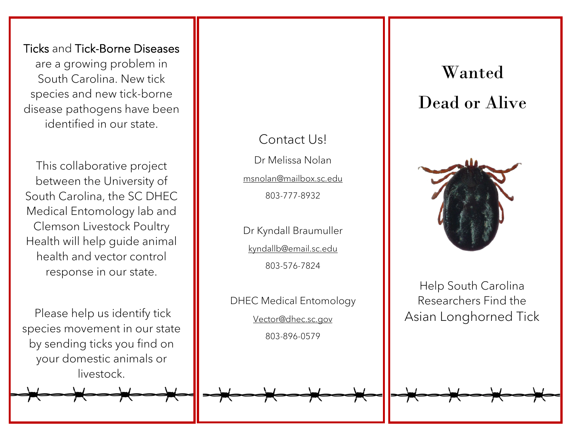Ticks and Tick-Borne Diseases are a growing problem in South Carolina. New tick species and new tick-borne disease pathogens have been identified in our state.

This collaborative project between the University of South Carolina, the SC DHEC Medical Entomology lab and Clemson Livestock Poultry Health will help guide animal health and vector control response in our state.

Please help us identify tick species movement in our state by sending ticks you find on your domestic animals or livestock.



## Contact Us!

Dr Melissa Nolan [msnolan@mailbox.sc.edu](mailto:msnolan@mailbox.sc.edu) 803-777-8932

Dr Kyndall Braumuller [kyndallb@email.sc.edu](mailto:kyndallb@email.sc.edu) 803-576-7824

DHEC Medical Entomology [Vector@dhec.sc.gov](mailto:Vector@dhec.sc.gov) 803-896-0579

# Wanted Dead or Alive



Help South Carolina Researchers Find the Asian Longhorned Tick